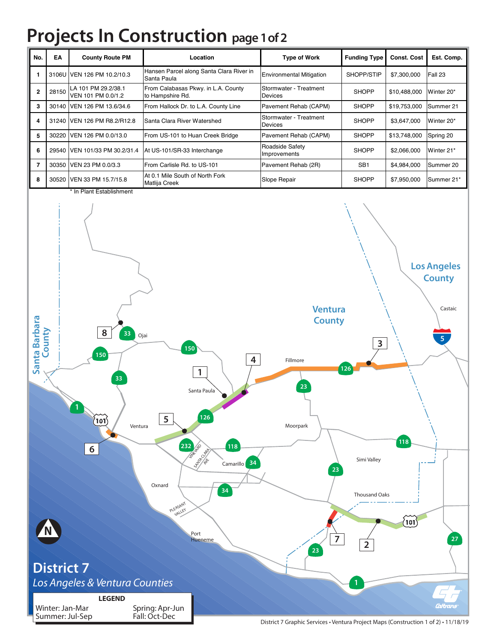## **Projects In Construction page 1 of 2**

| No.            | EA              | <b>County Route PM</b>                       | Location                                                                                                                                              | <b>Type of Work</b>                                                                 | <b>Funding Type</b>                            | <b>Const. Cost</b>                 | Est. Comp.                                                       |
|----------------|-----------------|----------------------------------------------|-------------------------------------------------------------------------------------------------------------------------------------------------------|-------------------------------------------------------------------------------------|------------------------------------------------|------------------------------------|------------------------------------------------------------------|
| $\mathbf{1}$   |                 | 3106U VEN 126 PM 10.2/10.3                   | Hansen Parcel along Santa Clara River in<br>Santa Paula                                                                                               | <b>Environmental Mitigation</b>                                                     | SHOPP/STIP                                     | \$7,300,000                        | Fall 23                                                          |
| $\mathbf{2}$   | 28150           | LA 101 PM 29.2/38.1<br>VEN 101 PM 0.0/1.2    | From Calabasas Pkwy. in L.A. County<br>to Hampshire Rd.                                                                                               | Stormwater - Treatment<br>Devices                                                   | <b>SHOPP</b>                                   | \$10,488,000                       | Winter 20*                                                       |
| 3              |                 | 30140 VEN 126 PM 13.6/34.6                   | From Hallock Dr. to L.A. County Line                                                                                                                  | Pavement Rehab (CAPM)                                                               | <b>SHOPP</b>                                   | \$19,753,000                       | Summer 21                                                        |
| 4              |                 | 31240 VEN 126 PM R8.2/R12.8                  | Santa Clara River Watershed                                                                                                                           | Stormwater - Treatment<br>Devices                                                   | <b>SHOPP</b>                                   | \$3,647,000                        | Winter 20*                                                       |
| 5              |                 | 30220 VEN 126 PM 0.0/13.0                    | From US-101 to Huan Creek Bridge                                                                                                                      | Pavement Rehab (CAPM)                                                               | <b>SHOPP</b>                                   | \$13,748,000                       | Spring 20                                                        |
| 6              |                 | 29540 VEN 101/33 PM 30.2/31.4                | At US-101/SR-33 Interchange                                                                                                                           | Roadside Safety<br>Improvements                                                     | <b>SHOPP</b>                                   | \$2,066,000                        | Winter 21*                                                       |
| $\overline{7}$ |                 | 30350 VEN 23 PM 0.0/3.3                      | From Carlisle Rd. to US-101                                                                                                                           | Pavement Rehab (2R)                                                                 | SB <sub>1</sub>                                | \$4,984,000                        | Summer 20                                                        |
| 8              |                 | 30520 VEN 33 PM 15.7/15.8                    | At 0.1 Mile South of North Fork<br>Matlija Creek                                                                                                      | Slope Repair                                                                        | <b>SHOPP</b>                                   | \$7,950,000                        | Summer 21*                                                       |
|                |                 | * In Plant Establishment                     |                                                                                                                                                       |                                                                                     |                                                |                                    |                                                                  |
| Santa Barbara  | County          | 8<br>33<br>Ojai<br>150<br>33                 | 150<br>4<br>1<br>Santa Paula                                                                                                                          | <b>Ventura</b><br><b>County</b><br>Fillmore<br>23                                   | $\mathbf{3}$<br>126                            |                                    | <b>Los Angeles</b><br><b>County</b><br>Castaic<br>$\overline{5}$ |
|                |                 | $ 101\rangle$<br>Ventura<br>6                | 126<br>5<br>232<br>118<br><b>ATHROPIES</b><br>Control Date<br>Camarillo <sup>34</sup><br>Oxnard<br>34<br>PLEASANT<br><b>VALLEY</b><br>Port<br>Hueneme | Moorpark<br>23<br>$\overline{7}$<br>23                                              | Simi Valley<br>Thousand Oaks<br>$\overline{2}$ | 118<br>$^{\prime}$ 101 $^{\prime}$ | 27                                                               |
|                |                 | District 7<br>Los Angeles & Ventura Counties |                                                                                                                                                       |                                                                                     |                                                |                                    |                                                                  |
|                |                 | <b>LEGEND</b>                                |                                                                                                                                                       |                                                                                     |                                                |                                    | Caltrans                                                         |
|                | Winter: Jan-Mar | Summer: Jul-Sep                              | Spring: Apr-Jun<br>Fall: Oct-Dec                                                                                                                      | District 7 Graphic Services • Ventura Project Maps (Construction 1 of 2) • 11/18/19 |                                                |                                    |                                                                  |